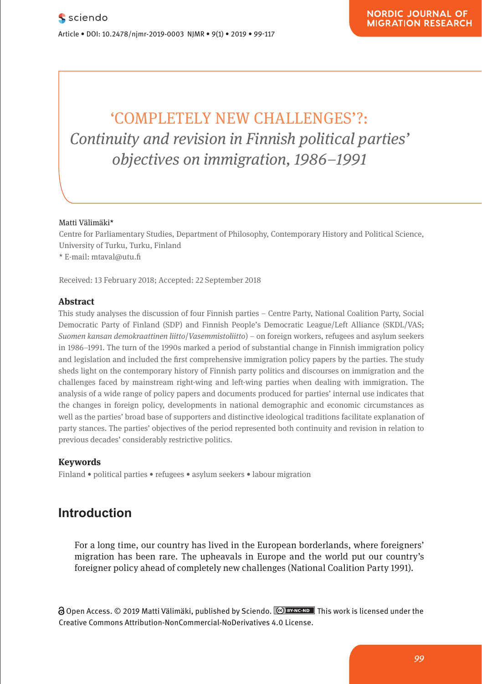## 'COMPLETELY NEW CHALLENGES'?: **Continuity and revision in Finnish political parties'** *objectives on immigration, 1986–1991* **Neuronal Continuity and i** Was ist so anders am Neuroenhancement?

#### Matti Välimäki\* **Comparison**

Research Article

Centre for Parliamentary Studies, Department of Philosophy, Contemporary History and Political Science, political Science, political Science, political Science, political Science, political science, political science, poli University of Turku, Turku, Finland eniversity of Turku, Turku, Turku, Turku, Turku, Turku, Turku, Turku, Turku, Turku, Turku, Turku, Turku, Turku, Turku, Turku, Turku, Turku, Turku, Turku, Turku, Turku, Turku, Turku, Turku, Turku, Turku, Turku, Turku, Turku

Received: 13 February 2018; Accepted: 22 September 2018

**Pharmacological and Mental Self-transformation in Ethic** 

#### **Abstract**

This study analyses the discussion of four Finnish parties - Centre Party, National Coalition Party, Social Democratic Party of Finland (SDP) and Finnish People's Democratic League/Left Alliance (SKDL/VAS; *Suomen kansan demokraattinen liitto*/*Vasemmistoliitto*) – on foreign workers, refugees and asylum seekers reference to the arguments developed around 1900. The main investigation also in 1986–1991. The turn of the 1990s marked a period of substantial change in Finnish immigration policy in 1960–1994. The carrier of the 1996 manual a period of easerchanal mange in Timmon immigration policy<br>and legislation and included the first comprehensive immigration policy papers by the parties. The study sheds light on the contemporary history of Finnish party politics and discourses on immigration and the challenges faced by mainstream right-wing and left-wing parties when dealing with immigration. The enancingles idea by mainstream right wing and felt wing parties when dealing with immigration. The analysis of a wide range of policy papers and documents produced for parties' internal use indicates that the changes in foreign policy, developments in national demographic and economic circumstances as well as the parties' broad base of supporters and distinctive ideological traditions facilitate explanation of party stances. The parties' objectives of the period represented both continuity and revision in relation to previous decades' considerably restrictive politics.

# **1 Keywords**

Journal xyz 2017; 1 (2): 122–135

Finland • political parties • refugees • asylum seekers • labour migration

## **Introduction**

For a long time, our country has lived in the European borderlands, where foreigners' migration has been rare. The upheavals in Europe and the world put our country's foreigner policy ahead of completely new challenges (National Coalition Party 1991).

∂ Open Access. © 2019 Matti Välimäki, published by Sciendo. <u>№ в×мс-мо </u> This work is licensed under the Creative Commons Attribution-NonCommercial-NoDerivatives 4.0 License.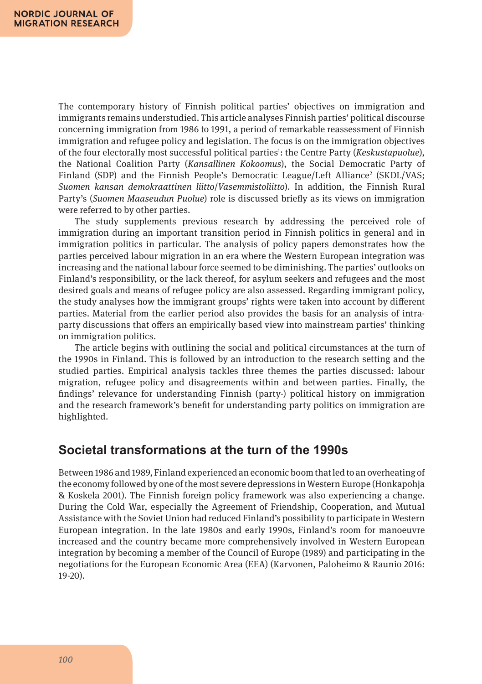The contemporary history of Finnish political parties' objectives on immigration and immigrants remains understudied. This article analyses Finnish parties' political discourse concerning immigration from 1986 to 1991, a period of remarkable reassessment of Finnish immigration and refugee policy and legislation. The focus is on the immigration objectives of the four electorally most successful political parties<sup>1</sup>: the Centre Party (*Keskustapuolue*), the National Coalition Party (*Kansallinen Kokoomus*), the Social Democratic Party of Finland (SDP) and the Finnish People's Democratic League/Left Alliance<sup>2</sup> (SKDL/VAS; *Suomen kansan demokraattinen liitto*/*Vasemmistoliitto*). In addition, the Finnish Rural Party's (*Suomen Maaseudun Puolue*) role is discussed briefly as its views on immigration were referred to by other parties.

The study supplements previous research by addressing the perceived role of immigration during an important transition period in Finnish politics in general and in immigration politics in particular. The analysis of policy papers demonstrates how the parties perceived labour migration in an era where the Western European integration was increasing and the national labour force seemed to be diminishing. The parties' outlooks on Finland's responsibility, or the lack thereof, for asylum seekers and refugees and the most desired goals and means of refugee policy are also assessed. Regarding immigrant policy, the study analyses how the immigrant groups' rights were taken into account by different parties. Material from the earlier period also provides the basis for an analysis of intraparty discussions that offers an empirically based view into mainstream parties' thinking on immigration politics.

The article begins with outlining the social and political circumstances at the turn of the 1990s in Finland. This is followed by an introduction to the research setting and the studied parties. Empirical analysis tackles three themes the parties discussed: labour migration, refugee policy and disagreements within and between parties. Finally, the findings' relevance for understanding Finnish (party-) political history on immigration and the research framework's benefit for understanding party politics on immigration are highlighted.

#### **Societal transformations at the turn of the 1990s**

Between 1986 and 1989, Finland experienced an economic boom that led to an overheating of the economy followed by one of the most severe depressions in Western Europe (Honkapohja & Koskela 2001). The Finnish foreign policy framework was also experiencing a change. During the Cold War, especially the Agreement of Friendship, Cooperation, and Mutual Assistance with the Soviet Union had reduced Finland's possibility to participate in Western European integration. In the late 1980s and early 1990s, Finland's room for manoeuvre increased and the country became more comprehensively involved in Western European integration by becoming a member of the Council of Europe (1989) and participating in the negotiations for the European Economic Area (EEA) (Karvonen, Paloheimo & Raunio 2016: 19-20).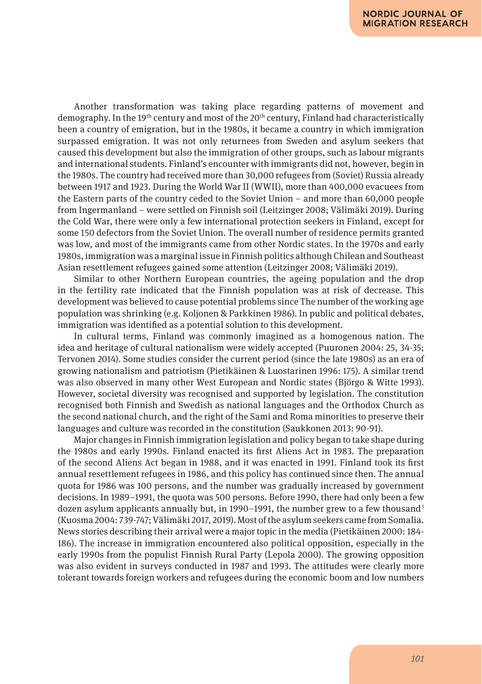Another transformation was taking place regarding patterns of movement and demography. In the 19<sup>th</sup> century and most of the 20<sup>th</sup> century, Finland had characteristically been a country of emigration, but in the 1980s, it became a country in which immigration surpassed emigration. It was not only returnees from Sweden and asylum seekers that caused this development but also the immigration of other groups, such as labour migrants and international students. Finland's encounter with immigrants did not, however, begin in the 1980s. The country had received more than 30,000 refugees from (Soviet) Russia already between 1917 and 1923. During the World War II (WWII), more than 400,000 evacuees from the Eastern parts of the country ceded to the Soviet Union – and more than 60,000 people from Ingermanland – were settled on Finnish soil (Leitzinger 2008; Välimäki 2019). During the Cold War, there were only a few international protection seekers in Finland, except for some 150 defectors from the Soviet Union. The overall number of residence permits granted was low, and most of the immigrants came from other Nordic states. In the 1970s and early 1980s, immigration was a marginal issue in Finnish politics although Chilean and Southeast Asian resettlement refugees gained some attention (Leitzinger 2008; Välimäki 2019).

Similar to other Northern European countries, the ageing population and the drop in the fertility rate indicated that the Finnish population was at risk of decrease. This development was believed to cause potential problems since The number of the working age population was shrinking (e.g. Koljonen & Parkkinen 1986). In public and political debates, immigration was identified as a potential solution to this development.

In cultural terms, Finland was commonly imagined as a homogenous nation. The idea and heritage of cultural nationalism were widely accepted (Puuronen 2004: 25, 34-35; Tervonen 2014). Some studies consider the current period (since the late 1980s) as an era of growing nationalism and patriotism (Pietikäinen & Luostarinen 1996: 175). A similar trend was also observed in many other West European and Nordic states (Björgo & Witte 1993). However, societal diversity was recognised and supported by legislation. The constitution recognised both Finnish and Swedish as national languages and the Orthodox Church as the second national church, and the right of the Sami and Roma minorities to preserve their languages and culture was recorded in the constitution (Saukkonen 2013: 90-91).

Major changes in Finnish immigration legislation and policy began to take shape during the 1980s and early 1990s. Finland enacted its first Aliens Act in 1983. The preparation of the second Aliens Act began in 1988, and it was enacted in 1991. Finland took its first annual resettlement refugees in 1986, and this policy has continued since then. The annual quota for 1986 was 100 persons, and the number was gradually increased by government decisions. In 1989–1991, the quota was 500 persons. Before 1990, there had only been a few dozen asylum applicants annually but, in 1990–1991, the number grew to a few thousand<sup>3</sup> (Kuosma 2004: 739-747; Välimäki 2017, 2019). Most of the asylum seekers came from Somalia. News stories describing their arrival were a major topic in the media (Pietikäinen 2000: 184- 186). The increase in immigration encountered also political opposition, especially in the early 1990s from the populist Finnish Rural Party (Lepola 2000). The growing opposition was also evident in surveys conducted in 1987 and 1993. The attitudes were clearly more tolerant towards foreign workers and refugees during the economic boom and low numbers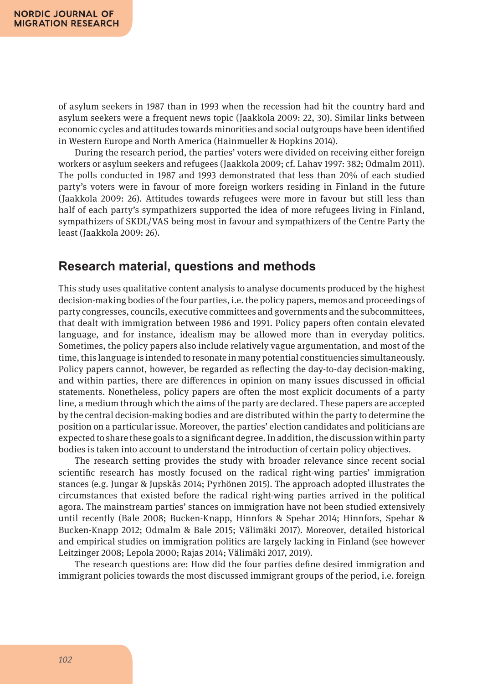of asylum seekers in 1987 than in 1993 when the recession had hit the country hard and asylum seekers were a frequent news topic (Jaakkola 2009: 22, 30). Similar links between economic cycles and attitudes towards minorities and social outgroups have been identified in Western Europe and North America (Hainmueller & Hopkins 2014).

During the research period, the parties' voters were divided on receiving either foreign workers or asylum seekers and refugees (Jaakkola 2009; cf. Lahav 1997: 382; Odmalm 2011). The polls conducted in 1987 and 1993 demonstrated that less than 20% of each studied party's voters were in favour of more foreign workers residing in Finland in the future (Jaakkola 2009: 26). Attitudes towards refugees were more in favour but still less than half of each party's sympathizers supported the idea of more refugees living in Finland, sympathizers of SKDL/VAS being most in favour and sympathizers of the Centre Party the least (Jaakkola 2009: 26).

#### **Research material, questions and methods**

This study uses qualitative content analysis to analyse documents produced by the highest decision-making bodies of the four parties, i.e. the policy papers, memos and proceedings of party congresses, councils, executive committees and governments and the subcommittees, that dealt with immigration between 1986 and 1991. Policy papers often contain elevated language, and for instance, idealism may be allowed more than in everyday politics. Sometimes, the policy papers also include relatively vague argumentation, and most of the time, this language is intended to resonate in many potential constituencies simultaneously. Policy papers cannot, however, be regarded as reflecting the day-to-day decision-making, and within parties, there are differences in opinion on many issues discussed in official statements. Nonetheless, policy papers are often the most explicit documents of a party line, a medium through which the aims of the party are declared. These papers are accepted by the central decision-making bodies and are distributed within the party to determine the position on a particular issue. Moreover, the parties' election candidates and politicians are expected to share these goals to a significant degree. In addition, the discussion within party bodies is taken into account to understand the introduction of certain policy objectives.

The research setting provides the study with broader relevance since recent social scientific research has mostly focused on the radical right-wing parties' immigration stances (e.g. Jungar & Jupskås 2014; Pyrhönen 2015). The approach adopted illustrates the circumstances that existed before the radical right-wing parties arrived in the political agora. The mainstream parties' stances on immigration have not been studied extensively until recently (Bale 2008; Bucken-Knapp, Hinnfors & Spehar 2014; Hinnfors, Spehar & Bucken-Knapp 2012; Odmalm & Bale 2015; Välimäki 2017). Moreover, detailed historical and empirical studies on immigration politics are largely lacking in Finland (see however Leitzinger 2008; Lepola 2000; Rajas 2014; Välimäki 2017, 2019).

The research questions are: How did the four parties define desired immigration and immigrant policies towards the most discussed immigrant groups of the period, i.e. foreign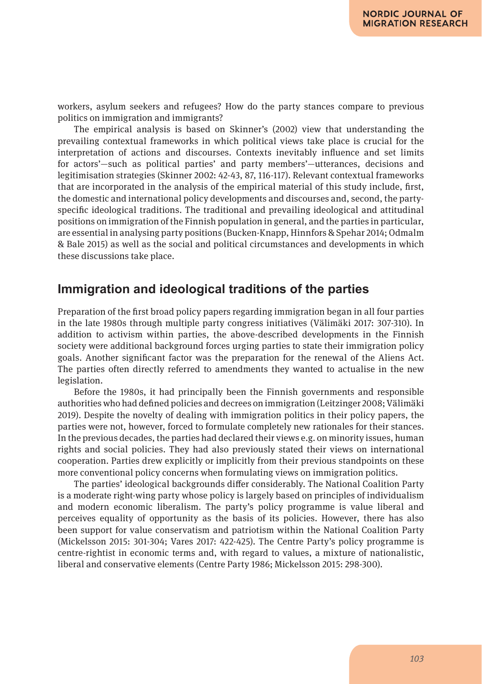workers, asylum seekers and refugees? How do the party stances compare to previous politics on immigration and immigrants?

The empirical analysis is based on Skinner's (2002) view that understanding the prevailing contextual frameworks in which political views take place is crucial for the interpretation of actions and discourses. Contexts inevitably influence and set limits for actors'—such as political parties' and party members'—utterances, decisions and legitimisation strategies (Skinner 2002: 42-43, 87, 116-117). Relevant contextual frameworks that are incorporated in the analysis of the empirical material of this study include, first, the domestic and international policy developments and discourses and, second, the partyspecific ideological traditions. The traditional and prevailing ideological and attitudinal positions on immigration of the Finnish population in general, and the parties in particular, are essential in analysing party positions (Bucken-Knapp, Hinnfors & Spehar 2014; Odmalm & Bale 2015) as well as the social and political circumstances and developments in which these discussions take place.

### **Immigration and ideological traditions of the parties**

Preparation of the first broad policy papers regarding immigration began in all four parties in the late 1980s through multiple party congress initiatives (Välimäki 2017: 307-310). In addition to activism within parties, the above-described developments in the Finnish society were additional background forces urging parties to state their immigration policy goals. Another significant factor was the preparation for the renewal of the Aliens Act. The parties often directly referred to amendments they wanted to actualise in the new legislation.

Before the 1980s, it had principally been the Finnish governments and responsible authorities who had defined policies and decrees on immigration (Leitzinger 2008; Välimäki 2019). Despite the novelty of dealing with immigration politics in their policy papers, the parties were not, however, forced to formulate completely new rationales for their stances. In the previous decades, the parties had declared their views e.g. on minority issues, human rights and social policies. They had also previously stated their views on international cooperation. Parties drew explicitly or implicitly from their previous standpoints on these more conventional policy concerns when formulating views on immigration politics.

The parties' ideological backgrounds differ considerably. The National Coalition Party is a moderate right-wing party whose policy is largely based on principles of individualism and modern economic liberalism. The party's policy programme is value liberal and perceives equality of opportunity as the basis of its policies. However, there has also been support for value conservatism and patriotism within the National Coalition Party (Mickelsson 2015: 301-304; Vares 2017: 422-425). The Centre Party's policy programme is centre-rightist in economic terms and, with regard to values, a mixture of nationalistic, liberal and conservative elements (Centre Party 1986; Mickelsson 2015: 298-300).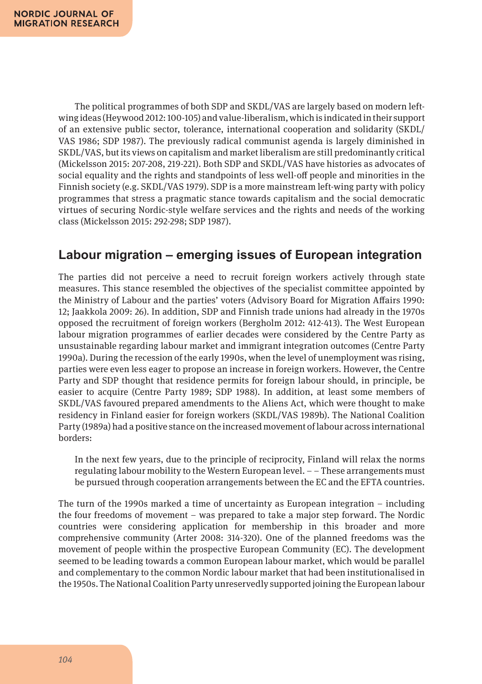The political programmes of both SDP and SKDL/VAS are largely based on modern leftwing ideas (Heywood 2012: 100-105) and value-liberalism, which is indicated in their support of an extensive public sector, tolerance, international cooperation and solidarity (SKDL/ VAS 1986; SDP 1987). The previously radical communist agenda is largely diminished in SKDL/VAS, but its views on capitalism and market liberalism are still predominantly critical (Mickelsson 2015: 207-208, 219-221). Both SDP and SKDL/VAS have histories as advocates of social equality and the rights and standpoints of less well-off people and minorities in the Finnish society (e.g. SKDL/VAS 1979). SDP is a more mainstream left-wing party with policy programmes that stress a pragmatic stance towards capitalism and the social democratic virtues of securing Nordic-style welfare services and the rights and needs of the working class (Mickelsson 2015: 292-298; SDP 1987).

### **Labour migration – emerging issues of European integration**

The parties did not perceive a need to recruit foreign workers actively through state measures. This stance resembled the objectives of the specialist committee appointed by the Ministry of Labour and the parties' voters (Advisory Board for Migration Affairs 1990: 12; Jaakkola 2009: 26). In addition, SDP and Finnish trade unions had already in the 1970s opposed the recruitment of foreign workers (Bergholm 2012: 412-413). The West European labour migration programmes of earlier decades were considered by the Centre Party as unsustainable regarding labour market and immigrant integration outcomes (Centre Party 1990a). During the recession of the early 1990s, when the level of unemployment was rising, parties were even less eager to propose an increase in foreign workers. However, the Centre Party and SDP thought that residence permits for foreign labour should, in principle, be easier to acquire (Centre Party 1989; SDP 1988). In addition, at least some members of SKDL/VAS favoured prepared amendments to the Aliens Act, which were thought to make residency in Finland easier for foreign workers (SKDL/VAS 1989b). The National Coalition Party (1989a) had a positive stance on the increased movement of labour across international borders:

In the next few years, due to the principle of reciprocity, Finland will relax the norms regulating labour mobility to the Western European level. – – These arrangements must be pursued through cooperation arrangements between the EC and the EFTA countries.

The turn of the 1990s marked a time of uncertainty as European integration – including the four freedoms of movement – was prepared to take a major step forward. The Nordic countries were considering application for membership in this broader and more comprehensive community (Arter 2008: 314-320). One of the planned freedoms was the movement of people within the prospective European Community (EC). The development seemed to be leading towards a common European labour market, which would be parallel and complementary to the common Nordic labour market that had been institutionalised in the 1950s. The National Coalition Party unreservedly supported joining the European labour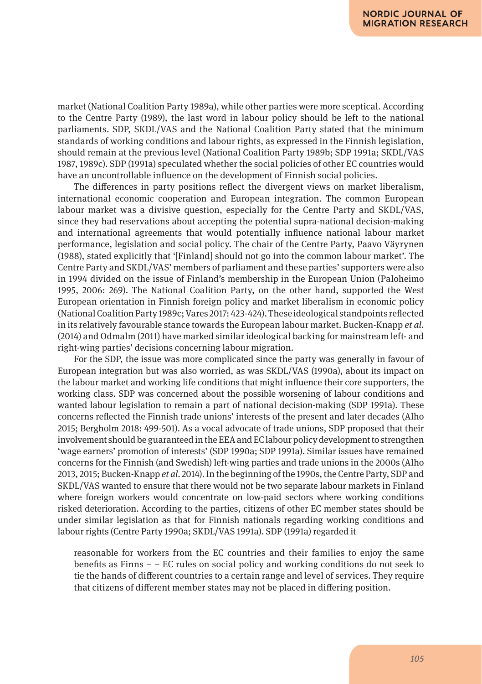market (National Coalition Party 1989a), while other parties were more sceptical. According to the Centre Party (1989), the last word in labour policy should be left to the national parliaments. SDP, SKDL/VAS and the National Coalition Party stated that the minimum standards of working conditions and labour rights, as expressed in the Finnish legislation, should remain at the previous level (National Coalition Party 1989b; SDP 1991a; SKDL/VAS 1987, 1989c). SDP (1991a) speculated whether the social policies of other EC countries would have an uncontrollable influence on the development of Finnish social policies.

The differences in party positions reflect the divergent views on market liberalism, international economic cooperation and European integration. The common European labour market was a divisive question, especially for the Centre Party and SKDL/VAS, since they had reservations about accepting the potential supra-national decision-making and international agreements that would potentially influence national labour market performance, legislation and social policy. The chair of the Centre Party, Paavo Väyrynen (1988), stated explicitly that '[Finland] should not go into the common labour market'. The Centre Party and SKDL/VAS' members of parliament and these parties' supporters were also in 1994 divided on the issue of Finland's membership in the European Union (Paloheimo 1995, 2006: 269). The National Coalition Party, on the other hand, supported the West European orientation in Finnish foreign policy and market liberalism in economic policy (National Coalition Party 1989c; Vares 2017: 423-424). These ideological standpoints reflected in its relatively favourable stance towards the European labour market. Bucken-Knapp *et al*. (2014) and Odmalm (2011) have marked similar ideological backing for mainstream left- and right-wing parties' decisions concerning labour migration.

For the SDP, the issue was more complicated since the party was generally in favour of European integration but was also worried, as was SKDL/VAS (1990a), about its impact on the labour market and working life conditions that might influence their core supporters, the working class. SDP was concerned about the possible worsening of labour conditions and wanted labour legislation to remain a part of national decision-making (SDP 1991a). These concerns reflected the Finnish trade unions' interests of the present and later decades (Alho 2015; Bergholm 2018: 499-501). As a vocal advocate of trade unions, SDP proposed that their involvement should be guaranteed in the EEA and EC labour policy development to strengthen 'wage earners' promotion of interests' (SDP 1990a; SDP 1991a). Similar issues have remained concerns for the Finnish (and Swedish) left-wing parties and trade unions in the 2000s (Alho 2013, 2015; Bucken-Knapp *et al*. 2014). In the beginning of the 1990s, the Centre Party, SDP and SKDL/VAS wanted to ensure that there would not be two separate labour markets in Finland where foreign workers would concentrate on low-paid sectors where working conditions risked deterioration. According to the parties, citizens of other EC member states should be under similar legislation as that for Finnish nationals regarding working conditions and labour rights (Centre Party 1990a; SKDL/VAS 1991a). SDP (1991a) regarded it

reasonable for workers from the EC countries and their families to enjoy the same benefits as Finns – – EC rules on social policy and working conditions do not seek to tie the hands of different countries to a certain range and level of services. They require that citizens of different member states may not be placed in differing position.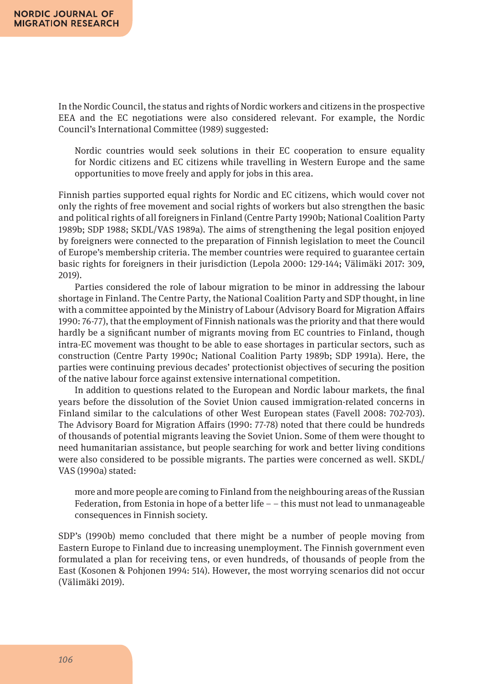In the Nordic Council, the status and rights of Nordic workers and citizens in the prospective EEA and the EC negotiations were also considered relevant. For example, the Nordic Council's International Committee (1989) suggested:

Nordic countries would seek solutions in their EC cooperation to ensure equality for Nordic citizens and EC citizens while travelling in Western Europe and the same opportunities to move freely and apply for jobs in this area.

Finnish parties supported equal rights for Nordic and EC citizens, which would cover not only the rights of free movement and social rights of workers but also strengthen the basic and political rights of all foreigners in Finland (Centre Party 1990b; National Coalition Party 1989b; SDP 1988; SKDL/VAS 1989a). The aims of strengthening the legal position enjoyed by foreigners were connected to the preparation of Finnish legislation to meet the Council of Europe's membership criteria. The member countries were required to guarantee certain basic rights for foreigners in their jurisdiction (Lepola 2000: 129-144; Välimäki 2017: 309, 2019).

Parties considered the role of labour migration to be minor in addressing the labour shortage in Finland. The Centre Party, the National Coalition Party and SDP thought, in line with a committee appointed by the Ministry of Labour (Advisory Board for Migration Affairs 1990: 76-77), that the employment of Finnish nationals was the priority and that there would hardly be a significant number of migrants moving from EC countries to Finland, though intra-EC movement was thought to be able to ease shortages in particular sectors, such as construction (Centre Party 1990c; National Coalition Party 1989b; SDP 1991a). Here, the parties were continuing previous decades' protectionist objectives of securing the position of the native labour force against extensive international competition.

In addition to questions related to the European and Nordic labour markets, the final years before the dissolution of the Soviet Union caused immigration-related concerns in Finland similar to the calculations of other West European states (Favell 2008: 702-703). The Advisory Board for Migration Affairs (1990: 77-78) noted that there could be hundreds of thousands of potential migrants leaving the Soviet Union. Some of them were thought to need humanitarian assistance, but people searching for work and better living conditions were also considered to be possible migrants. The parties were concerned as well. SKDL/ VAS (1990a) stated:

more and more people are coming to Finland from the neighbouring areas of the Russian Federation, from Estonia in hope of a better life  $-$  – this must not lead to unmanageable consequences in Finnish society.

SDP's (1990b) memo concluded that there might be a number of people moving from Eastern Europe to Finland due to increasing unemployment. The Finnish government even formulated a plan for receiving tens, or even hundreds, of thousands of people from the East (Kosonen & Pohjonen 1994: 514). However, the most worrying scenarios did not occur (Välimäki 2019).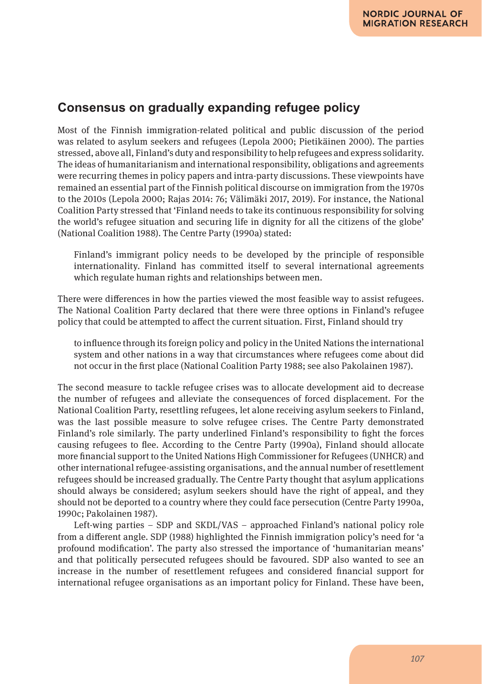### **Consensus on gradually expanding refugee policy**

Most of the Finnish immigration-related political and public discussion of the period was related to asylum seekers and refugees (Lepola 2000; Pietikäinen 2000). The parties stressed, above all, Finland's duty and responsibility to help refugees and express solidarity. The ideas of humanitarianism and international responsibility, obligations and agreements were recurring themes in policy papers and intra-party discussions. These viewpoints have remained an essential part of the Finnish political discourse on immigration from the 1970s to the 2010s (Lepola 2000; Rajas 2014: 76; Välimäki 2017, 2019). For instance, the National Coalition Party stressed that 'Finland needs to take its continuous responsibility for solving the world's refugee situation and securing life in dignity for all the citizens of the globe' (National Coalition 1988). The Centre Party (1990a) stated:

Finland's immigrant policy needs to be developed by the principle of responsible internationality. Finland has committed itself to several international agreements which regulate human rights and relationships between men.

There were differences in how the parties viewed the most feasible way to assist refugees. The National Coalition Party declared that there were three options in Finland's refugee policy that could be attempted to affect the current situation. First, Finland should try

to influence through its foreign policy and policy in the United Nations the international system and other nations in a way that circumstances where refugees come about did not occur in the first place (National Coalition Party 1988; see also Pakolainen 1987).

The second measure to tackle refugee crises was to allocate development aid to decrease the number of refugees and alleviate the consequences of forced displacement. For the National Coalition Party, resettling refugees, let alone receiving asylum seekers to Finland, was the last possible measure to solve refugee crises. The Centre Party demonstrated Finland's role similarly. The party underlined Finland's responsibility to fight the forces causing refugees to flee. According to the Centre Party (1990a), Finland should allocate more financial support to the United Nations High Commissioner for Refugees (UNHCR) and other international refugee-assisting organisations, and the annual number of resettlement refugees should be increased gradually. The Centre Party thought that asylum applications should always be considered; asylum seekers should have the right of appeal, and they should not be deported to a country where they could face persecution (Centre Party 1990a, 1990c; Pakolainen 1987).

Left-wing parties – SDP and SKDL/VAS – approached Finland's national policy role from a different angle. SDP (1988) highlighted the Finnish immigration policy's need for 'a profound modification'. The party also stressed the importance of 'humanitarian means' and that politically persecuted refugees should be favoured. SDP also wanted to see an increase in the number of resettlement refugees and considered financial support for international refugee organisations as an important policy for Finland. These have been,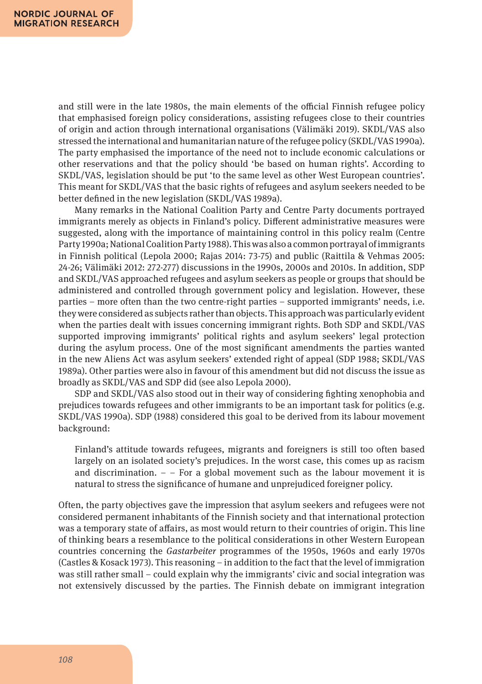and still were in the late 1980s, the main elements of the official Finnish refugee policy that emphasised foreign policy considerations, assisting refugees close to their countries of origin and action through international organisations (Välimäki 2019). SKDL/VAS also stressed the international and humanitarian nature of the refugee policy (SKDL/VAS 1990a). The party emphasised the importance of the need not to include economic calculations or other reservations and that the policy should 'be based on human rights'. According to SKDL/VAS, legislation should be put 'to the same level as other West European countries'. This meant for SKDL/VAS that the basic rights of refugees and asylum seekers needed to be better defined in the new legislation (SKDL/VAS 1989a).

Many remarks in the National Coalition Party and Centre Party documents portrayed immigrants merely as objects in Finland's policy. Different administrative measures were suggested, along with the importance of maintaining control in this policy realm (Centre Party 1990a; National Coalition Party 1988). This was also a common portrayal of immigrants in Finnish political (Lepola 2000; Rajas 2014: 73-75) and public (Raittila & Vehmas 2005: 24-26; Välimäki 2012: 272-277) discussions in the 1990s, 2000s and 2010s. In addition, SDP and SKDL/VAS approached refugees and asylum seekers as people or groups that should be administered and controlled through government policy and legislation. However, these parties – more often than the two centre-right parties – supported immigrants' needs, i.e. they were considered as subjects rather than objects. This approach was particularly evident when the parties dealt with issues concerning immigrant rights. Both SDP and SKDL/VAS supported improving immigrants' political rights and asylum seekers' legal protection during the asylum process. One of the most significant amendments the parties wanted in the new Aliens Act was asylum seekers' extended right of appeal (SDP 1988; SKDL/VAS 1989a). Other parties were also in favour of this amendment but did not discuss the issue as broadly as SKDL/VAS and SDP did (see also Lepola 2000).

SDP and SKDL/VAS also stood out in their way of considering fighting xenophobia and prejudices towards refugees and other immigrants to be an important task for politics (e.g. SKDL/VAS 1990a). SDP (1988) considered this goal to be derived from its labour movement background:

Finland's attitude towards refugees, migrants and foreigners is still too often based largely on an isolated society's prejudices. In the worst case, this comes up as racism and discrimination.  $-$  – For a global movement such as the labour movement it is natural to stress the significance of humane and unprejudiced foreigner policy.

Often, the party objectives gave the impression that asylum seekers and refugees were not considered permanent inhabitants of the Finnish society and that international protection was a temporary state of affairs, as most would return to their countries of origin. This line of thinking bears a resemblance to the political considerations in other Western European countries concerning the *Gastarbeiter* programmes of the 1950s, 1960s and early 1970s (Castles & Kosack 1973). This reasoning – in addition to the fact that the level of immigration was still rather small – could explain why the immigrants' civic and social integration was not extensively discussed by the parties. The Finnish debate on immigrant integration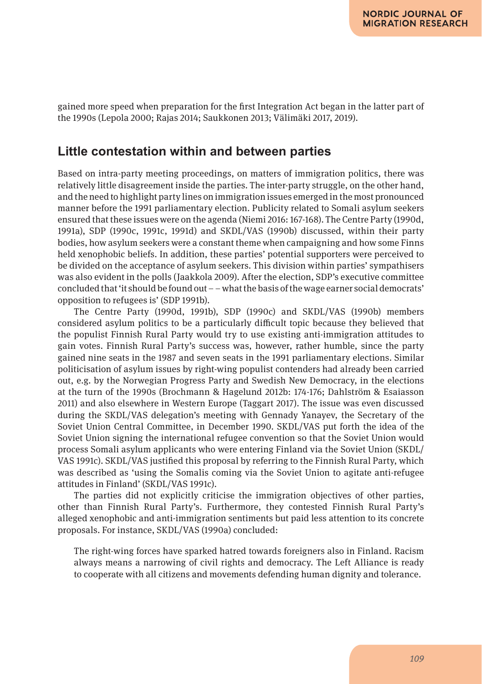gained more speed when preparation for the first Integration Act began in the latter part of the 1990s (Lepola 2000; Rajas 2014; Saukkonen 2013; Välimäki 2017, 2019).

#### **Little contestation within and between parties**

Based on intra-party meeting proceedings, on matters of immigration politics, there was relatively little disagreement inside the parties. The inter-party struggle, on the other hand, and the need to highlight party lines on immigration issues emerged in the most pronounced manner before the 1991 parliamentary election. Publicity related to Somali asylum seekers ensured that these issues were on the agenda (Niemi 2016: 167-168). The Centre Party (1990d, 1991a), SDP (1990c, 1991c, 1991d) and SKDL/VAS (1990b) discussed, within their party bodies, how asylum seekers were a constant theme when campaigning and how some Finns held xenophobic beliefs. In addition, these parties' potential supporters were perceived to be divided on the acceptance of asylum seekers. This division within parties' sympathisers was also evident in the polls (Jaakkola 2009). After the election, SDP's executive committee concluded that 'it should be found out – – what the basis of the wage earner social democrats' opposition to refugees is' (SDP 1991b).

The Centre Party (1990d, 1991b), SDP (1990c) and SKDL/VAS (1990b) members considered asylum politics to be a particularly difficult topic because they believed that the populist Finnish Rural Party would try to use existing anti-immigration attitudes to gain votes. Finnish Rural Party's success was, however, rather humble, since the party gained nine seats in the 1987 and seven seats in the 1991 parliamentary elections. Similar politicisation of asylum issues by right-wing populist contenders had already been carried out, e.g. by the Norwegian Progress Party and Swedish New Democracy, in the elections at the turn of the 1990s (Brochmann & Hagelund 2012b: 174-176; Dahlström & Esaiasson 2011) and also elsewhere in Western Europe (Taggart 2017). The issue was even discussed during the SKDL/VAS delegation's meeting with Gennady Yanayev, the Secretary of the Soviet Union Central Committee, in December 1990. SKDL/VAS put forth the idea of the Soviet Union signing the international refugee convention so that the Soviet Union would process Somali asylum applicants who were entering Finland via the Soviet Union (SKDL/ VAS 1991c). SKDL/VAS justified this proposal by referring to the Finnish Rural Party, which was described as 'using the Somalis coming via the Soviet Union to agitate anti-refugee attitudes in Finland' (SKDL/VAS 1991c).

The parties did not explicitly criticise the immigration objectives of other parties, other than Finnish Rural Party's. Furthermore, they contested Finnish Rural Party's alleged xenophobic and anti-immigration sentiments but paid less attention to its concrete proposals. For instance, SKDL/VAS (1990a) concluded:

The right-wing forces have sparked hatred towards foreigners also in Finland. Racism always means a narrowing of civil rights and democracy. The Left Alliance is ready to cooperate with all citizens and movements defending human dignity and tolerance.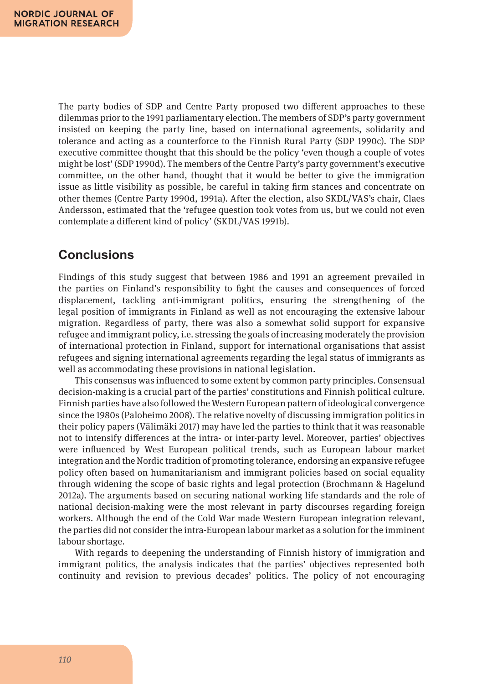The party bodies of SDP and Centre Party proposed two different approaches to these dilemmas prior to the 1991 parliamentary election. The members of SDP's party government insisted on keeping the party line, based on international agreements, solidarity and tolerance and acting as a counterforce to the Finnish Rural Party (SDP 1990c). The SDP executive committee thought that this should be the policy 'even though a couple of votes might be lost' (SDP 1990d). The members of the Centre Party's party government's executive committee, on the other hand, thought that it would be better to give the immigration issue as little visibility as possible, be careful in taking firm stances and concentrate on other themes (Centre Party 1990d, 1991a). After the election, also SKDL/VAS's chair, Claes Andersson, estimated that the 'refugee question took votes from us, but we could not even contemplate a different kind of policy' (SKDL/VAS 1991b).

### **Conclusions**

Findings of this study suggest that between 1986 and 1991 an agreement prevailed in the parties on Finland's responsibility to fight the causes and consequences of forced displacement, tackling anti-immigrant politics, ensuring the strengthening of the legal position of immigrants in Finland as well as not encouraging the extensive labour migration. Regardless of party, there was also a somewhat solid support for expansive refugee and immigrant policy, i.e. stressing the goals of increasing moderately the provision of international protection in Finland, support for international organisations that assist refugees and signing international agreements regarding the legal status of immigrants as well as accommodating these provisions in national legislation.

This consensus was influenced to some extent by common party principles. Consensual decision-making is a crucial part of the parties' constitutions and Finnish political culture. Finnish parties have also followed the Western European pattern of ideological convergence since the 1980s (Paloheimo 2008). The relative novelty of discussing immigration politics in their policy papers (Välimäki 2017) may have led the parties to think that it was reasonable not to intensify differences at the intra- or inter-party level. Moreover, parties' objectives were influenced by West European political trends, such as European labour market integration and the Nordic tradition of promoting tolerance, endorsing an expansive refugee policy often based on humanitarianism and immigrant policies based on social equality through widening the scope of basic rights and legal protection (Brochmann & Hagelund 2012a). The arguments based on securing national working life standards and the role of national decision-making were the most relevant in party discourses regarding foreign workers. Although the end of the Cold War made Western European integration relevant, the parties did not consider the intra-European labour market as a solution for the imminent labour shortage.

With regards to deepening the understanding of Finnish history of immigration and immigrant politics, the analysis indicates that the parties' objectives represented both continuity and revision to previous decades' politics. The policy of not encouraging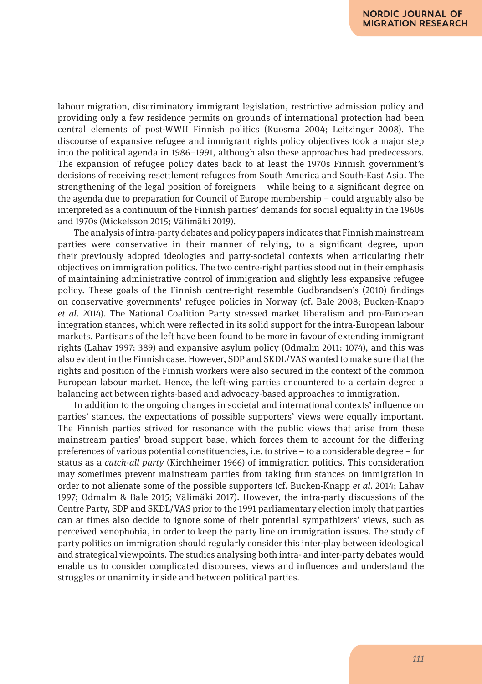labour migration, discriminatory immigrant legislation, restrictive admission policy and providing only a few residence permits on grounds of international protection had been central elements of post-WWII Finnish politics (Kuosma 2004; Leitzinger 2008). The discourse of expansive refugee and immigrant rights policy objectives took a major step into the political agenda in 1986–1991, although also these approaches had predecessors. The expansion of refugee policy dates back to at least the 1970s Finnish government's decisions of receiving resettlement refugees from South America and South-East Asia. The strengthening of the legal position of foreigners – while being to a significant degree on the agenda due to preparation for Council of Europe membership – could arguably also be interpreted as a continuum of the Finnish parties' demands for social equality in the 1960s and 1970s (Mickelsson 2015; Välimäki 2019).

The analysis of intra-party debates and policy papers indicates that Finnish mainstream parties were conservative in their manner of relying, to a significant degree, upon their previously adopted ideologies and party-societal contexts when articulating their objectives on immigration politics. The two centre-right parties stood out in their emphasis of maintaining administrative control of immigration and slightly less expansive refugee policy. These goals of the Finnish centre-right resemble Gudbrandsen's (2010) findings on conservative governments' refugee policies in Norway (cf. Bale 2008; Bucken-Knapp *et al*. 2014). The National Coalition Party stressed market liberalism and pro-European integration stances, which were reflected in its solid support for the intra-European labour markets. Partisans of the left have been found to be more in favour of extending immigrant rights (Lahav 1997: 389) and expansive asylum policy (Odmalm 2011: 1074), and this was also evident in the Finnish case. However, SDP and SKDL/VAS wanted to make sure that the rights and position of the Finnish workers were also secured in the context of the common European labour market. Hence, the left-wing parties encountered to a certain degree a balancing act between rights-based and advocacy-based approaches to immigration.

In addition to the ongoing changes in societal and international contexts' influence on parties' stances, the expectations of possible supporters' views were equally important. The Finnish parties strived for resonance with the public views that arise from these mainstream parties' broad support base, which forces them to account for the differing preferences of various potential constituencies, i.e. to strive – to a considerable degree – for status as a *catch-all party* (Kirchheimer 1966) of immigration politics. This consideration may sometimes prevent mainstream parties from taking firm stances on immigration in order to not alienate some of the possible supporters (cf. Bucken-Knapp *et al*. 2014; Lahav 1997; Odmalm & Bale 2015; Välimäki 2017). However, the intra-party discussions of the Centre Party, SDP and SKDL/VAS prior to the 1991 parliamentary election imply that parties can at times also decide to ignore some of their potential sympathizers' views, such as perceived xenophobia, in order to keep the party line on immigration issues. The study of party politics on immigration should regularly consider this inter-play between ideological and strategical viewpoints. The studies analysing both intra- and inter-party debates would enable us to consider complicated discourses, views and influences and understand the struggles or unanimity inside and between political parties.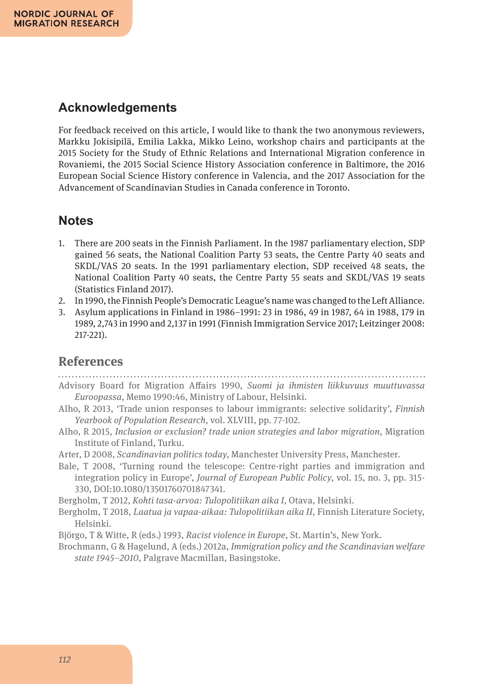### **Acknowledgements**

For feedback received on this article, I would like to thank the two anonymous reviewers, Markku Jokisipilä, Emilia Lakka, Mikko Leino, workshop chairs and participants at the 2015 Society for the Study of Ethnic Relations and International Migration conference in Rovaniemi, the 2015 Social Science History Association conference in Baltimore, the 2016 European Social Science History conference in Valencia, and the 2017 Association for the Advancement of Scandinavian Studies in Canada conference in Toronto.

#### **Notes**

- 1. There are 200 seats in the Finnish Parliament. In the 1987 parliamentary election, SDP gained 56 seats, the National Coalition Party 53 seats, the Centre Party 40 seats and SKDL/VAS 20 seats. In the 1991 parliamentary election, SDP received 48 seats, the National Coalition Party 40 seats, the Centre Party 55 seats and SKDL/VAS 19 seats (Statistics Finland 2017).
- 2. In 1990, the Finnish People's Democratic League's name was changed to the Left Alliance.
- 3. Asylum applications in Finland in 1986–1991: 23 in 1986, 49 in 1987, 64 in 1988, 179 in 1989, 2,743 in 1990 and 2,137 in 1991 (Finnish Immigration Service 2017; Leitzinger 2008: 217-221).

#### **References**

Advisory Board for Migration Affairs 1990, *Suomi ja ihmisten liikkuvuus muuttuvassa Euroopassa*, Memo 1990:46, Ministry of Labour, Helsinki.

- Alho, R 2013, 'Trade union responses to labour immigrants: selective solidarity', *Finnish Yearbook of Population Research*, vol. XLVIII, pp. 77-102.
- Alho, R 2015, *Inclusion or exclusion? trade union strategies and labor migration*, Migration Institute of Finland, Turku.
- Arter, D 2008, *Scandinavian politics today*, Manchester University Press, Manchester.
- Bale, T 2008, 'Turning round the telescope: Centre-right parties and immigration and integration policy in Europe', *Journal of European Public Policy*, vol. 15, no. 3, pp. 315- 330, DOI:10.1080/13501760701847341.
- Bergholm, T 2012, *Kohti tasa-arvoa: Tulopolitiikan aika I*, Otava, Helsinki.
- Bergholm, T 2018, *Laatua ja vapaa-aikaa: Tulopolitiikan aika II*, Finnish Literature Society, Helsinki.
- Björgo, T & Witte, R (eds.) 1993, *Racist violence in Europe*, St. Martin's, New York.
- Brochmann, G & Hagelund, A (eds.) 2012a, *Immigration policy and the Scandinavian welfare state 1945–2010*, Palgrave Macmillan, Basingstoke.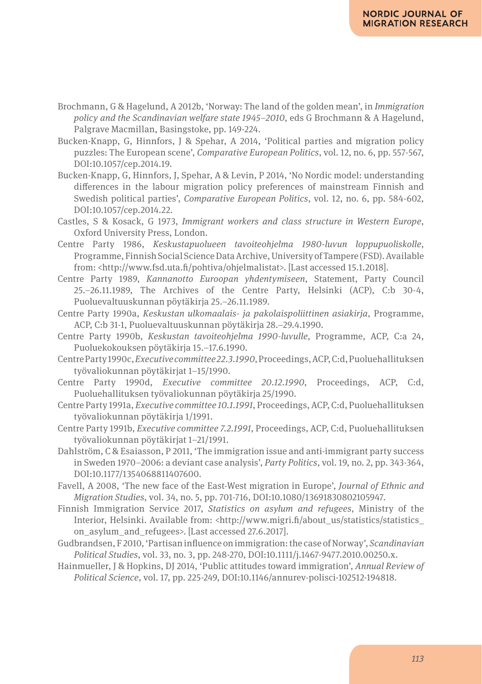- Brochmann, G & Hagelund, A 2012b, 'Norway: The land of the golden mean', in *Immigration policy and the Scandinavian welfare state 1945–2010*, eds G Brochmann & A Hagelund, Palgrave Macmillan, Basingstoke, pp. 149-224.
- Bucken-Knapp, G, Hinnfors, J & Spehar, A 2014, 'Political parties and migration policy puzzles: The European scene', *Comparative European Politics*, vol. 12, no. 6, pp. 557-567, DOI:10.1057/cep.2014.19.
- Bucken-Knapp, G, Hinnfors, J, Spehar, A & Levin, P 2014, 'No Nordic model: understanding differences in the labour migration policy preferences of mainstream Finnish and Swedish political parties', *Comparative European Politics*, vol. 12, no. 6, pp. 584-602, DOI:10.1057/cep.2014.22.
- Castles, S & Kosack, G 1973, *Immigrant workers and class structure in Western Europe*, Oxford University Press, London.
- Centre Party 1986, *Keskustapuolueen tavoiteohjelma 1980-luvun loppupuoliskolle*, Programme, Finnish Social Science Data Archive, University of Tampere (FSD). Available from: <http://www.fsd.uta.fi/pohtiva/ohjelmalistat>. [Last accessed 15.1.2018].
- Centre Party 1989, *Kannanotto Euroopan yhdentymiseen*, Statement, Party Council 25.–26.11.1989, The Archives of the Centre Party, Helsinki (ACP), C:b 30-4, Puoluevaltuuskunnan pöytäkirja 25.–26.11.1989.
- Centre Party 1990a, *Keskustan ulkomaalais- ja pakolaispoliittinen asiakirja*, Programme, ACP, C:b 31-1, Puoluevaltuuskunnan pöytäkirja 28.–29.4.1990.
- Centre Party 1990b, *Keskustan tavoiteohjelma 1990-luvulle*, Programme, ACP, C:a 24, Puoluekokouksen pöytäkirja 15.–17.6.1990.
- Centre Party 1990c, *Executive committee 22.3.1990*,Proceedings, ACP, C:d, Puoluehallituksen työvaliokunnan pöytäkirjat 1–15/1990.
- Centre Party 1990d, *Executive committee 20.12.1990*, Proceedings, ACP, C:d, Puoluehallituksen työvaliokunnan pöytäkirja 25/1990.
- Centre Party 1991a, *Executive committee 10.1.1991*, Proceedings, ACP, C:d, Puoluehallituksen työvaliokunnan pöytäkirja 1/1991.
- Centre Party 1991b, *Executive committee 7.2.1991*, Proceedings, ACP, C:d, Puoluehallituksen työvaliokunnan pöytäkirjat 1–21/1991.
- Dahlström, C & Esaiasson, P 2011, 'The immigration issue and anti-immigrant party success in Sweden 1970–2006: a deviant case analysis', *Party Politics*, vol. 19, no. 2, pp. 343-364, DOI:10.1177/1354068811407600.
- Favell, A 2008, 'The new face of the East-West migration in Europe', *Journal of Ethnic and Migration Studies*, vol. 34, no. 5, pp. 701-716, DOI:10.1080/13691830802105947.
- Finnish Immigration Service 2017, *Statistics on asylum and refugees*, Ministry of the Interior, Helsinki. Available from: <http://www.migri.fi/about\_us/statistics/statistics\_ on\_asylum\_and\_refugees>. [Last accessed 27.6.2017].
- Gudbrandsen, F 2010, 'Partisan influence on immigration: the case of Norway', *Scandinavian Political Studies*, vol. 33, no. 3, pp. 248-270, DOI:10.1111/j.1467-9477.2010.00250.x.
- Hainmueller, J & Hopkins, DJ 2014, 'Public attitudes toward immigration', *Annual Review of Political Science*, vol. 17, pp. 225-249, DOI:10.1146/annurev-polisci-102512-194818.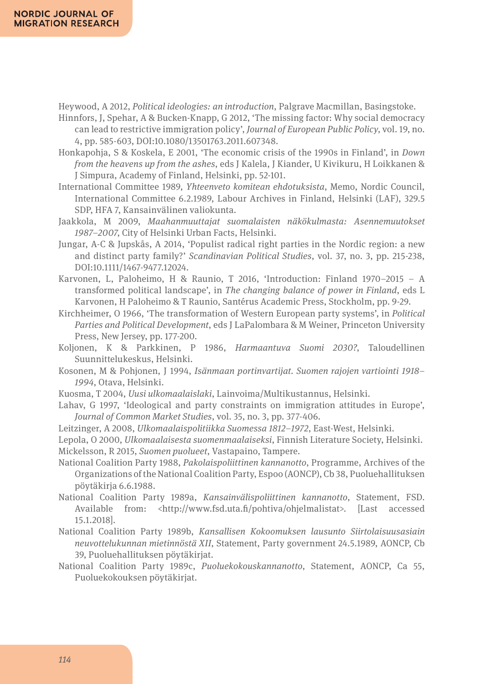Heywood, A 2012, *Political ideologies: an introduction*, Palgrave Macmillan, Basingstoke.

- Hinnfors, J, Spehar, A & Bucken-Knapp, G 2012, 'The missing factor: Why social democracy can lead to restrictive immigration policy', *Journal of European Public Policy*, vol. 19, no. 4, pp. 585-603, DOI:10.1080/13501763.2011.607348.
- Honkapohja, S & Koskela, E 2001, 'The economic crisis of the 1990s in Finland', in *Down from the heavens up from the ashes*, eds J Kalela, J Kiander, U Kivikuru, H Loikkanen & J Simpura, Academy of Finland, Helsinki, pp. 52-101.
- International Committee 1989, *Yhteenveto komitean ehdotuksista*, Memo, Nordic Council, International Committee 6.2.1989, Labour Archives in Finland, Helsinki (LAF), 329.5 SDP, HFA 7, Kansainvälinen valiokunta.
- Jaakkola, M 2009, *Maahanmuuttajat suomalaisten näkökulmasta: Asennemuutokset 1987–2007*, City of Helsinki Urban Facts, Helsinki.
- Jungar, A-C & Jupskås, A 2014, 'Populist radical right parties in the Nordic region: a new and distinct party family?' *Scandinavian Political Studies*, vol. 37, no. 3, pp. 215-238, DOI:10.1111/1467-9477.12024.
- Karvonen, L, Paloheimo, H & Raunio, T 2016, 'Introduction: Finland 1970–2015 A transformed political landscape', in *The changing balance of power in Finland*, eds L Karvonen, H Paloheimo & T Raunio, Santérus Academic Press, Stockholm, pp. 9-29.
- Kirchheimer, O 1966, 'The transformation of Western European party systems', in *Political Parties and Political Development*, eds J LaPalombara & M Weiner, Princeton University Press, New Jersey, pp. 177-200.
- Koljonen, K & Parkkinen, P 1986, *Harmaantuva Suomi 2030?*, Taloudellinen Suunnittelukeskus, Helsinki.
- Kosonen, M & Pohjonen, J 1994, *Isänmaan portinvartijat. Suomen rajojen vartiointi 1918– 1994*, Otava, Helsinki.
- Kuosma, T 2004, *Uusi ulkomaalaislaki*, Lainvoima/Multikustannus, Helsinki.
- Lahav, G 1997, 'Ideological and party constraints on immigration attitudes in Europe', *Journal of Common Market Studies*, vol. 35, no. 3, pp. 377-406.
- Leitzinger, A 2008, *Ulkomaalaispolitiikka Suomessa 1812–1972*, East-West, Helsinki.
- Lepola, O 2000, *Ulkomaalaisesta suomenmaalaiseksi*, Finnish Literature Society, Helsinki. Mickelsson, R 2015, *Suomen puolueet*, Vastapaino, Tampere.
- National Coalition Party 1988, *Pakolaispoliittinen kannanotto*, Programme, Archives of the Organizations of the National Coalition Party, Espoo (AONCP), Cb 38, Puoluehallituksen pöytäkirja 6.6.1988.
- National Coalition Party 1989a, *Kansainvälispoliittinen kannanotto*, Statement, FSD. Available from: <http://www.fsd.uta.fi/pohtiva/ohjelmalistat>. [Last accessed 15.1.2018].
- National Coalition Party 1989b, *Kansallisen Kokoomuksen lausunto Siirtolaisuusasiain neuvottelukunnan mietinnöstä XII*, Statement, Party government 24.5.1989, AONCP, Cb 39, Puoluehallituksen pöytäkirjat.
- National Coalition Party 1989c, *Puoluekokouskannanotto*, Statement, AONCP, Ca 55, Puoluekokouksen pöytäkirjat.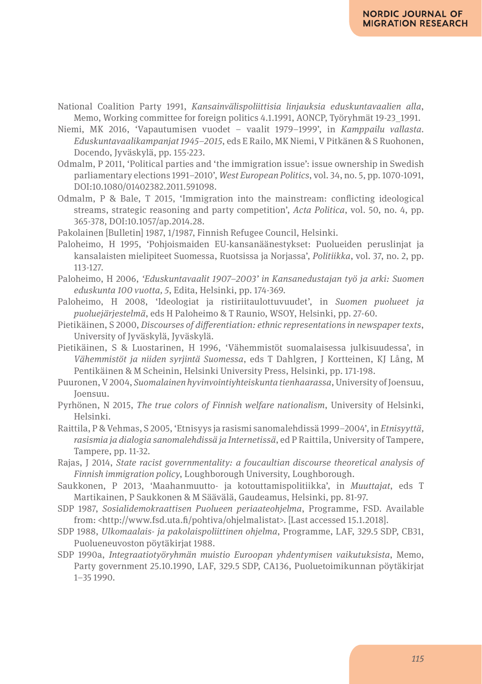- National Coalition Party 1991, *Kansainvälispoliittisia linjauksia eduskuntavaalien alla*, Memo, Working committee for foreign politics 4.1.1991, AONCP, Työryhmät 19-23\_1991.
- Niemi, MK 2016, 'Vapautumisen vuodet vaalit 1979–1999', in *Kamppailu vallasta. Eduskuntavaalikampanjat 1945–2015*, eds E Railo, MK Niemi, V Pitkänen & S Ruohonen, Docendo, Jyväskylä, pp. 155-223.
- Odmalm, P 2011, 'Political parties and 'the immigration issue': issue ownership in Swedish parliamentary elections 1991–2010', *West European Politics*, vol. 34, no. 5, pp. 1070-1091, DOI:10.1080/01402382.2011.591098.
- Odmalm, P & Bale, T 2015, 'Immigration into the mainstream: conflicting ideological streams, strategic reasoning and party competition', *Acta Politica*, vol. 50, no. 4, pp. 365-378, DOI:10.1057/ap.2014.28.
- Pakolainen [Bulletin] 1987, 1/1987, Finnish Refugee Council, Helsinki.
- Paloheimo, H 1995, 'Pohjoismaiden EU-kansanäänestykset: Puolueiden peruslinjat ja kansalaisten mielipiteet Suomessa, Ruotsissa ja Norjassa', *Politiikka*, vol. 37, no. 2, pp. 113-127.
- Paloheimo, H 2006, *'Eduskuntavaalit 1907–2003' in Kansanedustajan työ ja arki: Suomen eduskunta 100 vuotta, 5*, Edita, Helsinki, pp. 174-369.
- Paloheimo, H 2008, 'Ideologiat ja ristiriitaulottuvuudet', in *Suomen puolueet ja puoluejärjestelmä*, eds H Paloheimo & T Raunio, WSOY, Helsinki, pp. 27-60.
- Pietikäinen, S 2000, *Discourses of differentiation: ethnic representations in newspaper texts*, University of Jyväskylä, Jyväskylä.
- Pietikäinen, S & Luostarinen, H 1996, 'Vähemmistöt suomalaisessa julkisuudessa', in *Vähemmistöt ja niiden syrjintä Suomessa*, eds T Dahlgren, J Kortteinen, KJ Lång, M Pentikäinen & M Scheinin, Helsinki University Press, Helsinki, pp. 171-198.
- Puuronen, V 2004, *Suomalainen hyvinvointiyhteiskunta tienhaarassa*, University of Joensuu, Joensuu.
- Pyrhönen, N 2015, *The true colors of Finnish welfare nationalism*, University of Helsinki, Helsinki.
- Raittila, P & Vehmas, S 2005, 'Etnisyys ja rasismi sanomalehdissä 1999–2004', in *Etnisyyttä, rasismia ja dialogia sanomalehdissä ja Internetissä*, ed P Raittila, University of Tampere, Tampere, pp. 11-32.
- Rajas, J 2014, *State racist governmentality: a foucaultian discourse theoretical analysis of Finnish immigration policy*, Loughborough University, Loughborough.
- Saukkonen, P 2013, 'Maahanmuutto- ja kotouttamispolitiikka', in *Muuttajat*, eds T Martikainen, P Saukkonen & M Säävälä, Gaudeamus, Helsinki, pp. 81-97.
- SDP 1987, *Sosialidemokraattisen Puolueen periaateohjelma*, Programme, FSD. Available from: <http://www.fsd.uta.fi/pohtiva/ohjelmalistat>. [Last accessed 15.1.2018].
- SDP 1988, *Ulkomaalais- ja pakolaispoliittinen ohjelma*, Programme, LAF, 329.5 SDP, CB31, Puolueneuvoston pöytäkirjat 1988.
- SDP 1990a, *Integraatiotyöryhmän muistio Euroopan yhdentymisen vaikutuksista*, Memo, Party government 25.10.1990, LAF, 329.5 SDP, CA136, Puoluetoimikunnan pöytäkirjat 1–35 1990.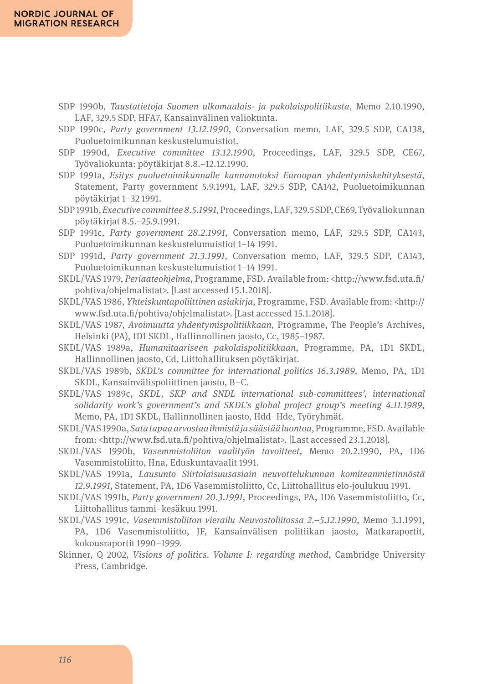- SDP 1990b, *Taustatietoja Suomen ulkomaalais- ja pakolaispolitiikasta*, Memo 2.10.1990, LAF, 329.5 SDP, HFA7, Kansainvälinen valiokunta.
- SDP 1990c, *Party government 13.12.1990*, Conversation memo, LAF, 329.5 SDP, CA138, Puoluetoimikunnan keskustelumuistiot.
- SDP 1990d, *Executive committee 13.12.1990*, Proceedings, LAF, 329.5 SDP, CE67, Työvaliokunta: pöytäkirjat 8.8.–12.12.1990.
- SDP 1991a, *Esitys puoluetoimikunnalle kannanotoksi Euroopan yhdentymiskehityksestä*, Statement, Party government 5.9.1991, LAF, 329.5 SDP, CA142, Puoluetoimikunnan pöytäkirjat 1–32 1991.
- SDP 1991b, *Executive committee 8.5.1991*, Proceedings, LAF, 329.5 SDP, CE69, Työvaliokunnan pöytäkirjat 8.5.–25.9.1991.
- SDP 1991c, *Party government 28.2.1991*, Conversation memo, LAF, 329.5 SDP, CA143, Puoluetoimikunnan keskustelumuistiot 1–14 1991.
- SDP 1991d, *Party government 21.3.1991*, Conversation memo, LAF, 329.5 SDP, CA143, Puoluetoimikunnan keskustelumuistiot 1–14 1991.
- SKDL/VAS 1979, *Periaateohjelma*, Programme, FSD. Available from: <http://www.fsd.uta.fi/ pohtiva/ohjelmalistat>. [Last accessed 15.1.2018].
- SKDL/VAS 1986, *Yhteiskuntapoliittinen asiakirja*, Programme, FSD. Available from: <http:// www.fsd.uta.fi/pohtiva/ohjelmalistat>. [Last accessed 15.1.2018].
- SKDL/VAS 1987, *Avoimuutta yhdentymispolitiikkaan*, Programme, The People's Archives, Helsinki (PA), 1D1 SKDL, Hallinnollinen jaosto, Cc, 1985–1987.
- SKDL/VAS 1989a, *Humanitaariseen pakolaispolitiikkaan*, Programme, PA, 1D1 SKDL, Hallinnollinen jaosto, Cd, Liittohallituksen pöytäkirjat.
- SKDL/VAS 1989b, *SKDL's committee for international politics 16.3.1989*, Memo, PA, 1D1 SKDL, Kansainvälispoliittinen jaosto, B–C.
- SKDL/VAS 1989c, *SKDL, SKP and SNDL international sub-committees', international solidarity work's government's and SKDL's global project group's meeting 4.11.1989*, Memo, PA, 1D1 SKDL, Hallinnollinen jaosto, Hdd–Hde, Työryhmät.
- SKDL/VAS 1990a, *Sata tapaa arvostaa ihmistä ja säästää luontoa*, Programme, FSD. Available from: <http://www.fsd.uta.fi/pohtiva/ohjelmalistat>. [Last accessed 23.1.2018].
- SKDL/VAS 1990b, *Vasemmistoliiton vaalityön tavoitteet*, Memo 20.2.1990, PA, 1D6 Vasemmistoliitto, Hna, Eduskuntavaalit 1991.
- SKDL/VAS 1991a, *Lausunto Siirtolaisuusasiain neuvottelukunnan komiteanmietinnöstä 12.9.1991*, Statement, PA, 1D6 Vasemmistoliitto, Cc, Liittohallitus elo-joulukuu 1991.
- SKDL/VAS 1991b, *Party government 20.3.1991*, Proceedings, PA, 1D6 Vasemmistoliitto, Cc, Liittohallitus tammi–kesäkuu 1991.
- SKDL/VAS 1991c, *Vasemmistoliiton vierailu Neuvostoliitossa 2.*–*5.12.1990*, Memo 3.1.1991, PA, 1D6 Vasemmistoliitto, JF, Kansainvälisen politiikan jaosto, Matkaraportit, kokousraportit 1990–1999.
- Skinner, Q 2002, *Visions of politics. Volume I: regarding method*, Cambridge University Press, Cambridge.